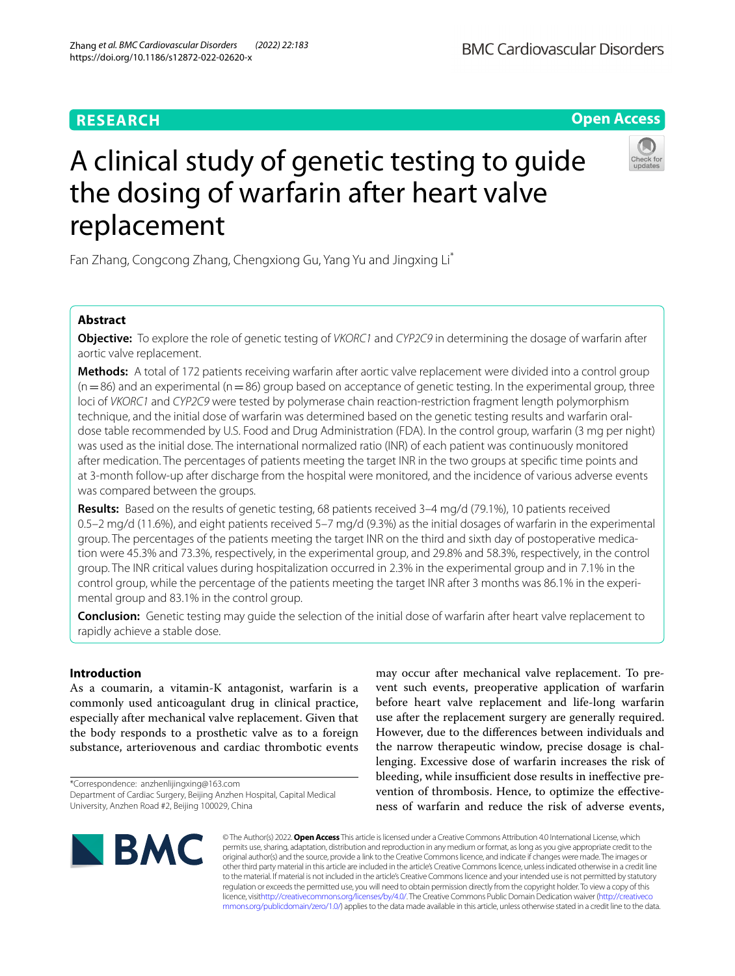## **RESEARCH**



# A clinical study of genetic testing to guide the dosing of warfarin after heart valve replacement



Fan Zhang, Congcong Zhang, Chengxiong Gu, Yang Yu and Jingxing Li\*

## **Abstract**

**Objective:** To explore the role of genetic testing of *VKORC1* and *CYP2C9* in determining the dosage of warfarin after aortic valve replacement.

**Methods:** A total of 172 patients receiving warfarin after aortic valve replacement were divided into a control group  $(n=86)$  and an experimental (n=86) group based on acceptance of genetic testing. In the experimental group, three loci of *VKORC1* and *CYP2C9* were tested by polymerase chain reaction-restriction fragment length polymorphism technique, and the initial dose of warfarin was determined based on the genetic testing results and warfarin oraldose table recommended by U.S. Food and Drug Administration (FDA). In the control group, warfarin (3 mg per night) was used as the initial dose. The international normalized ratio (INR) of each patient was continuously monitored after medication. The percentages of patients meeting the target INR in the two groups at specifc time points and at 3-month follow-up after discharge from the hospital were monitored, and the incidence of various adverse events was compared between the groups.

**Results:** Based on the results of genetic testing, 68 patients received 3–4 mg/d (79.1%), 10 patients received 0.5–2 mg/d (11.6%), and eight patients received 5–7 mg/d (9.3%) as the initial dosages of warfarin in the experimental group. The percentages of the patients meeting the target INR on the third and sixth day of postoperative medication were 45.3% and 73.3%, respectively, in the experimental group, and 29.8% and 58.3%, respectively, in the control group. The INR critical values during hospitalization occurred in 2.3% in the experimental group and in 7.1% in the control group, while the percentage of the patients meeting the target INR after 3 months was 86.1% in the experimental group and 83.1% in the control group.

**Conclusion:** Genetic testing may guide the selection of the initial dose of warfarin after heart valve replacement to rapidly achieve a stable dose.

## **Introduction**

As a coumarin, a vitamin-K antagonist, warfarin is a commonly used anticoagulant drug in clinical practice, especially after mechanical valve replacement. Given that the body responds to a prosthetic valve as to a foreign substance, arteriovenous and cardiac thrombotic events

\*Correspondence: anzhenlijingxing@163.com Department of Cardiac Surgery, Beijing Anzhen Hospital, Capital Medical University, Anzhen Road #2, Beijing 100029, China

may occur after mechanical valve replacement. To prevent such events, preoperative application of warfarin before heart valve replacement and life-long warfarin use after the replacement surgery are generally required. However, due to the diferences between individuals and the narrow therapeutic window, precise dosage is challenging. Excessive dose of warfarin increases the risk of bleeding, while insufficient dose results in ineffective prevention of thrombosis. Hence, to optimize the efectiveness of warfarin and reduce the risk of adverse events,



© The Author(s) 2022. **Open Access** This article is licensed under a Creative Commons Attribution 4.0 International License, which permits use, sharing, adaptation, distribution and reproduction in any medium or format, as long as you give appropriate credit to the original author(s) and the source, provide a link to the Creative Commons licence, and indicate if changes were made. The images or other third party material in this article are included in the article's Creative Commons licence, unless indicated otherwise in a credit line to the material. If material is not included in the article's Creative Commons licence and your intended use is not permitted by statutory regulation or exceeds the permitted use, you will need to obtain permission directly from the copyright holder. To view a copy of this licence, visi[thttp://creativecommons.org/licenses/by/4.0/](http://creativecommons.org/licenses/by/4.0/). The Creative Commons Public Domain Dedication waiver [\(http://creativeco](http://creativecommons.org/publicdomain/zero/1.0/) [mmons.org/publicdomain/zero/1.0/](http://creativecommons.org/publicdomain/zero/1.0/)) applies to the data made available in this article, unless otherwise stated in a credit line to the data.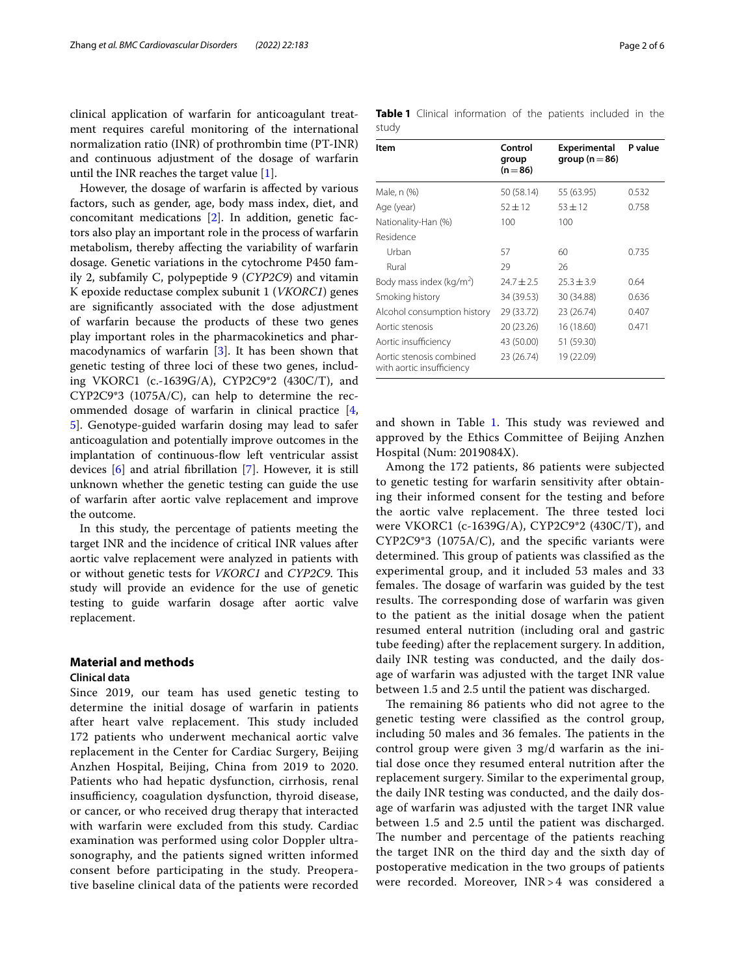clinical application of warfarin for anticoagulant treatment requires careful monitoring of the international normalization ratio (INR) of prothrombin time (PT-INR) and continuous adjustment of the dosage of warfarin until the INR reaches the target value [\[1](#page-4-0)].

However, the dosage of warfarin is afected by various factors, such as gender, age, body mass index, diet, and concomitant medications [\[2](#page-4-1)]. In addition, genetic factors also play an important role in the process of warfarin metabolism, thereby afecting the variability of warfarin dosage. Genetic variations in the cytochrome P450 family 2, subfamily C, polypeptide 9 (*CYP2C9*) and vitamin K epoxide reductase complex subunit 1 (*VKORC1*) genes are signifcantly associated with the dose adjustment of warfarin because the products of these two genes play important roles in the pharmacokinetics and pharmacodynamics of warfarin [\[3](#page-4-2)]. It has been shown that genetic testing of three loci of these two genes, including VKORC1 (c.-1639G/A), CYP2C9\*2 (430C/T), and CYP2C9\*3 (1075A/C), can help to determine the recommended dosage of warfarin in clinical practice [\[4](#page-5-0), [5\]](#page-5-1). Genotype-guided warfarin dosing may lead to safer anticoagulation and potentially improve outcomes in the implantation of continuous-fow left ventricular assist devices [[6](#page-5-2)] and atrial fbrillation [\[7](#page-5-3)]. However, it is still unknown whether the genetic testing can guide the use of warfarin after aortic valve replacement and improve the outcome.

In this study, the percentage of patients meeting the target INR and the incidence of critical INR values after aortic valve replacement were analyzed in patients with or without genetic tests for *VKORC1* and *CYP2C9*. This study will provide an evidence for the use of genetic testing to guide warfarin dosage after aortic valve replacement.

## **Material and methods**

## **Clinical data**

Since 2019, our team has used genetic testing to determine the initial dosage of warfarin in patients after heart valve replacement. This study included 172 patients who underwent mechanical aortic valve replacement in the Center for Cardiac Surgery, Beijing Anzhen Hospital, Beijing, China from 2019 to 2020. Patients who had hepatic dysfunction, cirrhosis, renal insufficiency, coagulation dysfunction, thyroid disease, or cancer, or who received drug therapy that interacted with warfarin were excluded from this study. Cardiac examination was performed using color Doppler ultrasonography, and the patients signed written informed consent before participating in the study. Preoperative baseline clinical data of the patients were recorded

<span id="page-1-0"></span>

| Item                                                  | Control<br>group<br>$(n=86)$ | <b>Experimental</b><br>group ( $n = 86$ ) | P value |
|-------------------------------------------------------|------------------------------|-------------------------------------------|---------|
| Male, n (%)                                           | 50 (58.14)                   | 55 (63.95)                                | 0.532   |
| Age (year)                                            | $52 + 12$                    | $53 \pm 12$                               | 0.758   |
| Nationality-Han (%)                                   | 100                          | 100                                       |         |
| Residence                                             |                              |                                           |         |
| Urban                                                 | 57                           | 60                                        | 0.735   |
| Rural                                                 | 29                           | 26                                        |         |
| Body mass index (kg/m <sup>2</sup> )                  | $24.7 \pm 2.5$               | $25.3 \pm 3.9$                            | 0.64    |
| Smoking history                                       | 34 (39.53)                   | 30 (34.88)                                | 0.636   |
| Alcohol consumption history                           | 29 (33.72)                   | 23 (26.74)                                | 0.407   |
| Aortic stenosis                                       | 20 (23.26)                   | 16 (18.60)                                | 0.471   |
| Aortic insufficiency                                  | 43 (50.00)                   | 51 (59.30)                                |         |
| Aortic stenosis combined<br>with aortic insufficiency | 23 (26.74)                   | 19 (22.09)                                |         |

and shown in Table [1.](#page-1-0) This study was reviewed and approved by the Ethics Committee of Beijing Anzhen Hospital (Num: 2019084X).

Among the 172 patients, 86 patients were subjected to genetic testing for warfarin sensitivity after obtaining their informed consent for the testing and before the aortic valve replacement. The three tested loci were VKORC1 (c-1639G/A), CYP2C9\*2 (430C/T), and CYP2C9\*3 (1075A/C), and the specifc variants were determined. This group of patients was classified as the experimental group, and it included 53 males and 33 females. The dosage of warfarin was guided by the test results. The corresponding dose of warfarin was given to the patient as the initial dosage when the patient resumed enteral nutrition (including oral and gastric tube feeding) after the replacement surgery. In addition, daily INR testing was conducted, and the daily dosage of warfarin was adjusted with the target INR value between 1.5 and 2.5 until the patient was discharged.

The remaining 86 patients who did not agree to the genetic testing were classifed as the control group, including 50 males and 36 females. The patients in the control group were given 3 mg/d warfarin as the initial dose once they resumed enteral nutrition after the replacement surgery. Similar to the experimental group, the daily INR testing was conducted, and the daily dosage of warfarin was adjusted with the target INR value between 1.5 and 2.5 until the patient was discharged. The number and percentage of the patients reaching the target INR on the third day and the sixth day of postoperative medication in the two groups of patients were recorded. Moreover, INR>4 was considered a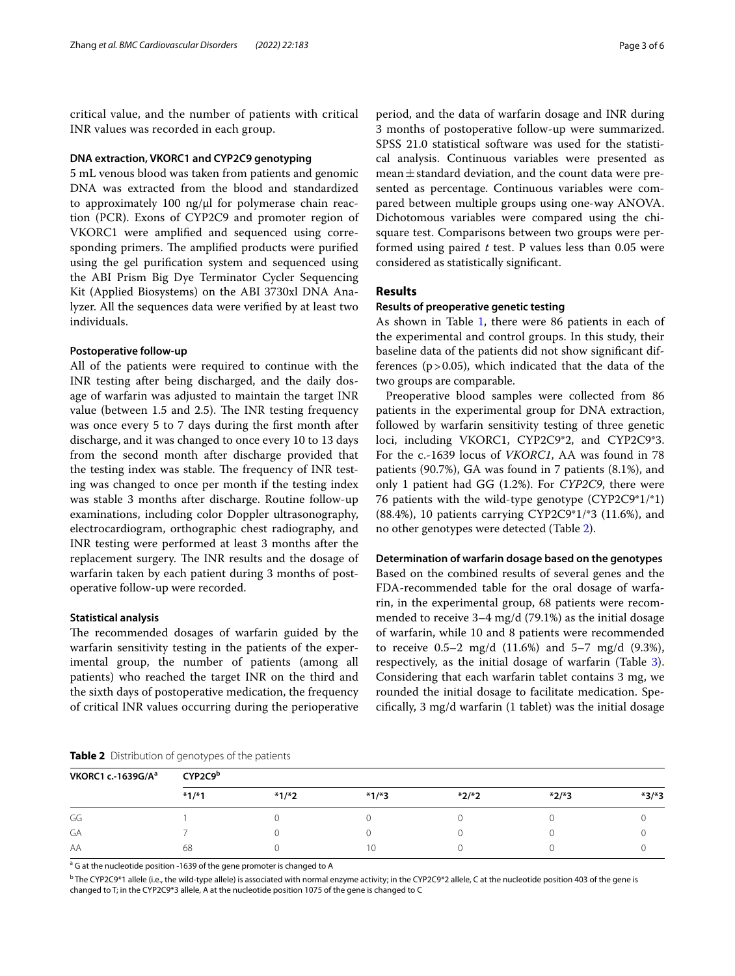critical value, and the number of patients with critical INR values was recorded in each group.

## **DNA extraction, VKORC1 and CYP2C9 genotyping**

5 mL venous blood was taken from patients and genomic DNA was extracted from the blood and standardized to approximately  $100$  ng/ $\mu$ l for polymerase chain reaction (PCR). Exons of CYP2C9 and promoter region of VKORC1 were amplifed and sequenced using corresponding primers. The amplified products were purified using the gel purifcation system and sequenced using the ABI Prism Big Dye Terminator Cycler Sequencing Kit (Applied Biosystems) on the ABI 3730xl DNA Analyzer. All the sequences data were verifed by at least two individuals.

## **Postoperative follow‑up**

All of the patients were required to continue with the INR testing after being discharged, and the daily dosage of warfarin was adjusted to maintain the target INR value (between  $1.5$  and  $2.5$ ). The INR testing frequency was once every 5 to 7 days during the frst month after discharge, and it was changed to once every 10 to 13 days from the second month after discharge provided that the testing index was stable. The frequency of INR testing was changed to once per month if the testing index was stable 3 months after discharge. Routine follow-up examinations, including color Doppler ultrasonography, electrocardiogram, orthographic chest radiography, and INR testing were performed at least 3 months after the replacement surgery. The INR results and the dosage of warfarin taken by each patient during 3 months of postoperative follow-up were recorded.

## **Statistical analysis**

The recommended dosages of warfarin guided by the warfarin sensitivity testing in the patients of the experimental group, the number of patients (among all patients) who reached the target INR on the third and the sixth days of postoperative medication, the frequency of critical INR values occurring during the perioperative

period, and the data of warfarin dosage and INR during 3 months of postoperative follow-up were summarized. SPSS 21.0 statistical software was used for the statistical analysis. Continuous variables were presented as mean $\pm$ standard deviation, and the count data were presented as percentage. Continuous variables were compared between multiple groups using one-way ANOVA. Dichotomous variables were compared using the chisquare test. Comparisons between two groups were performed using paired *t* test. P values less than 0.05 were considered as statistically signifcant.

## **Results**

## **Results of preoperative genetic testing**

As shown in Table [1](#page-1-0), there were 86 patients in each of the experimental and control groups. In this study, their baseline data of the patients did not show signifcant differences  $(p > 0.05)$ , which indicated that the data of the two groups are comparable.

Preoperative blood samples were collected from 86 patients in the experimental group for DNA extraction, followed by warfarin sensitivity testing of three genetic loci, including VKORC1, CYP2C9\*2, and CYP2C9\*3. For the c.-1639 locus of *VKORC1*, AA was found in 78 patients (90.7%), GA was found in 7 patients (8.1%), and only 1 patient had GG (1.2%). For *CYP2C9*, there were 76 patients with the wild-type genotype (CYP2C9\*1/\*1) (88.4%), 10 patients carrying CYP2C9\*1/\*3 (11.6%), and no other genotypes were detected (Table [2\)](#page-2-0).

## **Determination of warfarin dosage based on the genotypes**

Based on the combined results of several genes and the FDA-recommended table for the oral dosage of warfarin, in the experimental group, 68 patients were recommended to receive 3–4 mg/d (79.1%) as the initial dosage of warfarin, while 10 and 8 patients were recommended to receive  $0.5-2 \text{ mg/d}$   $(11.6\%)$  and  $5-7 \text{ mg/d}$   $(9.3\%)$ , respectively, as the initial dosage of warfarin (Table [3](#page-3-0)). Considering that each warfarin tablet contains 3 mg, we rounded the initial dosage to facilitate medication. Specifcally, 3 mg/d warfarin (1 tablet) was the initial dosage

<span id="page-2-0"></span>

|  |  |  | Table 2 Distribution of genotypes of the patients |
|--|--|--|---------------------------------------------------|
|--|--|--|---------------------------------------------------|

| VKORC1 c .- 1639G/A <sup>a</sup> | CYP2C9 <sup>b</sup> |         |         |         |         |         |  |
|----------------------------------|---------------------|---------|---------|---------|---------|---------|--|
|                                  | $*1/*1$             | $*1/*2$ | $*1/*3$ | $*2/*2$ | $*2/*3$ | $*3/*3$ |  |
| GG                               |                     |         |         |         |         |         |  |
| GA                               |                     |         |         |         |         |         |  |
| AA                               | 68                  |         | ۱0      |         |         |         |  |

<sup>a</sup> G at the nucleotide position -1639 of the gene promoter is changed to A

 $^{\rm b}$  The CYP2C9\*1 allele (i.e., the wild-type allele) is associated with normal enzyme activity; in the CYP2C9\*2 allele, C at the nucleotide position 403 of the gene is changed to T; in the CYP2C9\*3 allele, A at the nucleotide position 1075 of the gene is changed to C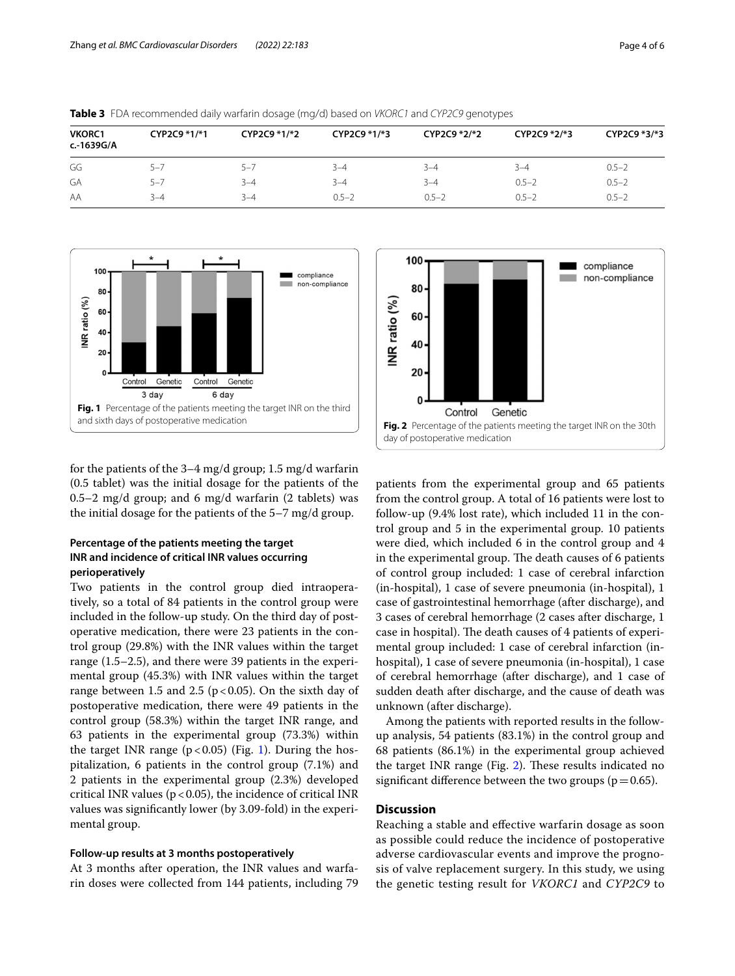| VKORC1<br>c.-1639G/A | CYP2C9 *1/*1 | CYP2C9 *1/*2 | CYP2C9 *1/*3 | CYP2C9 *2/*2 | CYP2C9 *2/*3 | CYP2C9 *3/*3 |
|----------------------|--------------|--------------|--------------|--------------|--------------|--------------|
| GG                   | $5 - 7$      | $5 - 7$      | $3 - 4$      | $3 - 4$      | $3 - 4$      | $0.5 - 2$    |
| GA                   | $5 - 7$      | $3 - 4$      | $3 - 4$      | $3 - 4$      | $0.5 - 2$    | $0.5 - 2$    |
| AA                   | $3 - 4$      | $3 - 4$      | $0.5 - 2$    | $0.5 - 2$    | $0.5 - 2$    | $0.5 - 2$    |

<span id="page-3-0"></span>**Table 3** FDA recommended daily warfarin dosage (mg/d) based on *VKORC1* and *CYP2C9* genotypes



<span id="page-3-1"></span>for the patients of the 3–4 mg/d group; 1.5 mg/d warfarin (0.5 tablet) was the initial dosage for the patients of the 0.5–2 mg/d group; and 6 mg/d warfarin (2 tablets) was the initial dosage for the patients of the 5–7 mg/d group.

## **Percentage of the patients meeting the target INR and incidence of critical INR values occurring perioperatively**

Two patients in the control group died intraoperatively, so a total of 84 patients in the control group were included in the follow-up study. On the third day of postoperative medication, there were 23 patients in the control group (29.8%) with the INR values within the target range (1.5–2.5), and there were 39 patients in the experimental group (45.3%) with INR values within the target range between 1.5 and 2.5 ( $p < 0.05$ ). On the sixth day of postoperative medication, there were 49 patients in the control group (58.3%) within the target INR range, and 63 patients in the experimental group (73.3%) within the target INR range  $(p<0.05)$  (Fig. [1](#page-3-1)). During the hospitalization, 6 patients in the control group (7.1%) and 2 patients in the experimental group (2.3%) developed critical INR values ( $p < 0.05$ ), the incidence of critical INR values was signifcantly lower (by 3.09-fold) in the experimental group.

## **Follow‑up results at 3 months postoperatively**

At 3 months after operation, the INR values and warfarin doses were collected from 144 patients, including 79



<span id="page-3-2"></span>patients from the experimental group and 65 patients from the control group. A total of 16 patients were lost to follow-up (9.4% lost rate), which included 11 in the control group and 5 in the experimental group. 10 patients were died, which included 6 in the control group and 4 in the experimental group. The death causes of 6 patients of control group included: 1 case of cerebral infarction (in-hospital), 1 case of severe pneumonia (in-hospital), 1 case of gastrointestinal hemorrhage (after discharge), and 3 cases of cerebral hemorrhage (2 cases after discharge, 1 case in hospital). The death causes of 4 patients of experimental group included: 1 case of cerebral infarction (inhospital), 1 case of severe pneumonia (in-hospital), 1 case of cerebral hemorrhage (after discharge), and 1 case of sudden death after discharge, and the cause of death was unknown (after discharge).

Among the patients with reported results in the followup analysis, 54 patients (83.1%) in the control group and 68 patients (86.1%) in the experimental group achieved the target INR range (Fig.  $2$ ). These results indicated no significant difference between the two groups ( $p=0.65$ ).

## **Discussion**

Reaching a stable and efective warfarin dosage as soon as possible could reduce the incidence of postoperative adverse cardiovascular events and improve the prognosis of valve replacement surgery. In this study, we using the genetic testing result for *VKORC1* and *CYP2C9* to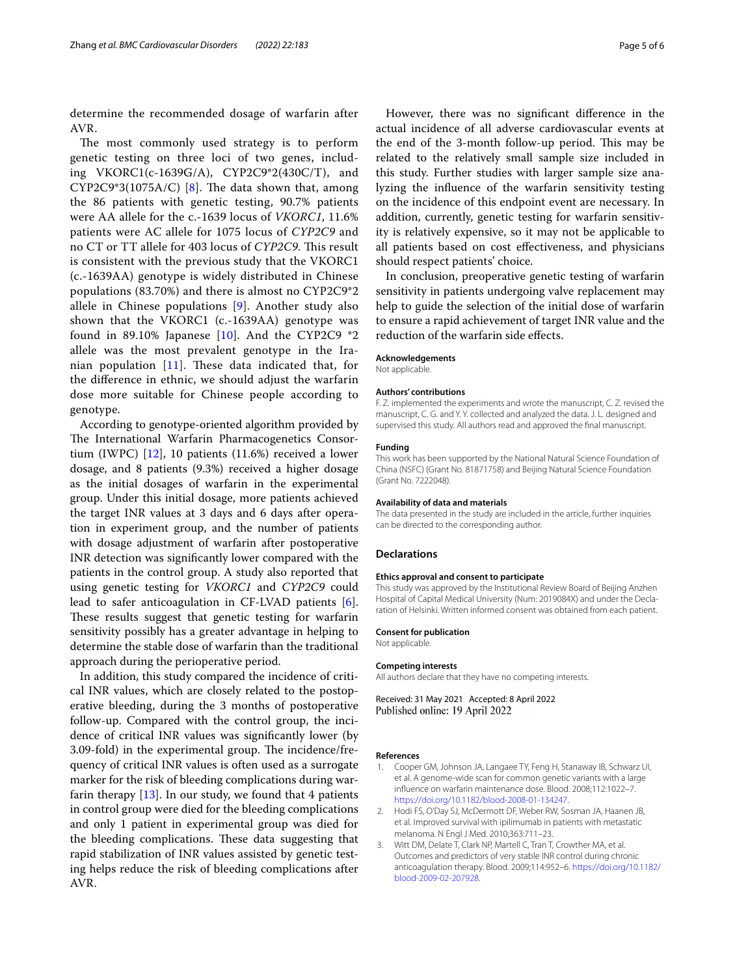determine the recommended dosage of warfarin after AVR.

The most commonly used strategy is to perform genetic testing on three loci of two genes, including VKORC1(c-1639G/A), CYP2C9\*2(430C/T), and CYP2C9\*3(1075A/C) [\[8](#page-5-4)]. The data shown that, among the 86 patients with genetic testing, 90.7% patients were AA allele for the c.-1639 locus of *VKORC1*, 11.6% patients were AC allele for 1075 locus of *CYP2C9* and no CT or TT allele for 403 locus of *CYP2C9*. This result is consistent with the previous study that the VKORC1 (c.-1639AA) genotype is widely distributed in Chinese populations (83.70%) and there is almost no CYP2C9\*2 allele in Chinese populations [[9\]](#page-5-5). Another study also shown that the VKORC1 (c.-1639AA) genotype was found in 89.10% Japanese [[10\]](#page-5-6). And the CYP2C9 \*2 allele was the most prevalent genotype in the Iranian population  $[11]$  $[11]$ . These data indicated that, for the diference in ethnic, we should adjust the warfarin dose more suitable for Chinese people according to genotype.

According to genotype-oriented algorithm provided by The International Warfarin Pharmacogenetics Consortium (IWPC) [\[12](#page-5-8)], 10 patients (11.6%) received a lower dosage, and 8 patients (9.3%) received a higher dosage as the initial dosages of warfarin in the experimental group. Under this initial dosage, more patients achieved the target INR values at 3 days and 6 days after operation in experiment group, and the number of patients with dosage adjustment of warfarin after postoperative INR detection was signifcantly lower compared with the patients in the control group. A study also reported that using genetic testing for *VKORC1* and *CYP2C9* could lead to safer anticoagulation in CF-LVAD patients [\[6](#page-5-2)]. These results suggest that genetic testing for warfarin sensitivity possibly has a greater advantage in helping to determine the stable dose of warfarin than the traditional approach during the perioperative period.

In addition, this study compared the incidence of critical INR values, which are closely related to the postoperative bleeding, during the 3 months of postoperative follow-up. Compared with the control group, the incidence of critical INR values was signifcantly lower (by 3.09-fold) in the experimental group. The incidence/frequency of critical INR values is often used as a surrogate marker for the risk of bleeding complications during warfarin therapy  $[13]$ . In our study, we found that 4 patients in control group were died for the bleeding complications and only 1 patient in experimental group was died for the bleeding complications. These data suggesting that rapid stabilization of INR values assisted by genetic testing helps reduce the risk of bleeding complications after AVR.

However, there was no signifcant diference in the actual incidence of all adverse cardiovascular events at the end of the 3-month follow-up period. This may be related to the relatively small sample size included in this study. Further studies with larger sample size analyzing the infuence of the warfarin sensitivity testing on the incidence of this endpoint event are necessary. In addition, currently, genetic testing for warfarin sensitivity is relatively expensive, so it may not be applicable to all patients based on cost efectiveness, and physicians should respect patients' choice.

In conclusion, preoperative genetic testing of warfarin sensitivity in patients undergoing valve replacement may help to guide the selection of the initial dose of warfarin to ensure a rapid achievement of target INR value and the reduction of the warfarin side efects.

## **Acknowledgements**

Not applicable.

#### **Authors' contributions**

F. Z. implemented the experiments and wrote the manuscript, C. Z. revised the manuscript, C. G. and Y. Y. collected and analyzed the data. J. L. designed and supervised this study. All authors read and approved the fnal manuscript.

#### **Funding**

This work has been supported by the National Natural Science Foundation of China (NSFC) (Grant No. 81871758) and Beijing Natural Science Foundation (Grant No. 7222048).

#### **Availability of data and materials**

The data presented in the study are included in the article, further inquiries can be directed to the corresponding author.

#### **Declarations**

#### **Ethics approval and consent to participate**

This study was approved by the Institutional Review Board of Beijing Anzhen Hospital of Capital Medical University (Num: 2019084X) and under the Declaration of Helsinki. Written informed consent was obtained from each patient.

#### **Consent for publication**

Not applicable.

#### **Competing interests**

All authors declare that they have no competing interests.

Received: 31 May 2021 Accepted: 8 April 2022 Published online: 19 April 2022

#### **References**

- <span id="page-4-0"></span>1. Cooper GM, Johnson JA, Langaee TY, Feng H, Stanaway IB, Schwarz UI, et al. A genome-wide scan for common genetic variants with a large infuence on warfarin maintenance dose. Blood. 2008;112:1022–7. [https://doi.org/10.1182/blood-2008-01-134247.](https://doi.org/10.1182/blood-2008-01-134247)
- <span id="page-4-1"></span>2. Hodi FS, O'Day SJ, McDermott DF, Weber RW, Sosman JA, Haanen JB, et al. Improved survival with ipilimumab in patients with metastatic melanoma. N Engl J Med. 2010;363:711–23.
- <span id="page-4-2"></span>3. Witt DM, Delate T, Clark NP, Martell C, Tran T, Crowther MA, et al. Outcomes and predictors of very stable INR control during chronic anticoagulation therapy. Blood. 2009;114:952–6. [https://doi.org/10.1182/](https://doi.org/10.1182/blood-2009-02-207928) [blood-2009-02-207928](https://doi.org/10.1182/blood-2009-02-207928).